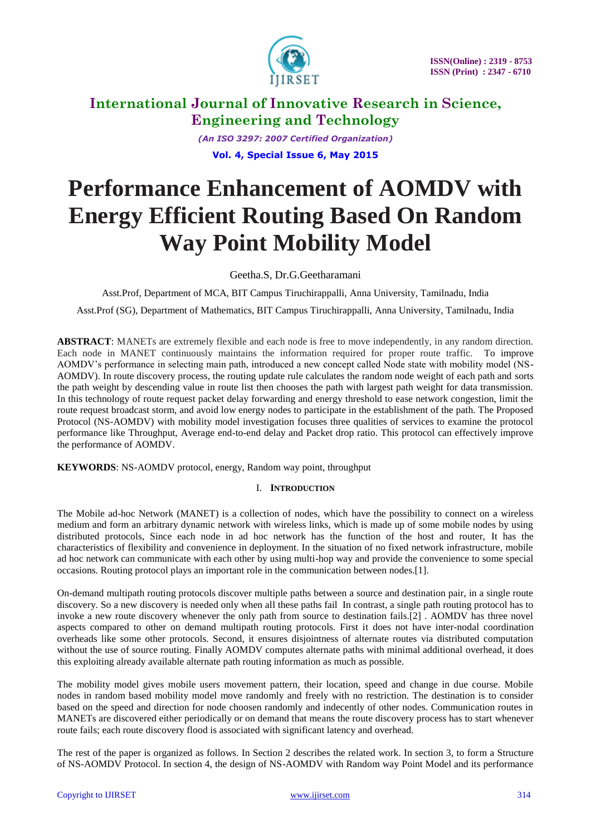

*(An ISO 3297: 2007 Certified Organization)* **Vol. 4, Special Issue 6, May 2015**

# **Performance Enhancement of AOMDV with Energy Efficient Routing Based On Random Way Point Mobility Model**

Geetha.S, Dr.G.Geetharamani

Asst.Prof, Department of MCA, BIT Campus Tiruchirappalli, Anna University, Tamilnadu, India

Asst.Prof (SG), Department of Mathematics, BIT Campus Tiruchirappalli, Anna University, Tamilnadu, India

**ABSTRACT**: MANETs are extremely flexible and each node is free to move independently, in any random direction. Each node in MANET continuously maintains the information required for proper route traffic. To improve AOMDV's performance in selecting main path, introduced a new concept called Node state with mobility model (NS-AOMDV). In route discovery process, the routing update rule calculates the random node weight of each path and sorts the path weight by descending value in route list then chooses the path with largest path weight for data transmission. In this technology of route request packet delay forwarding and energy threshold to ease network congestion, limit the route request broadcast storm, and avoid low energy nodes to participate in the establishment of the path. The Proposed Protocol (NS-AOMDV) with mobility model investigation focuses three qualities of services to examine the protocol performance like Throughput, Average end-to-end delay and Packet drop ratio. This protocol can effectively improve the performance of AOMDV.

**KEYWORDS**: NS-AOMDV protocol, energy, Random way point, throughput

# I. **INTRODUCTION**

The Mobile ad-hoc Network (MANET) is a collection of nodes, which have the possibility to connect on a wireless medium and form an arbitrary dynamic network with wireless links, which is made up of some mobile nodes by using distributed protocols, Since each node in ad hoc network has the function of the host and router, It has the characteristics of flexibility and convenience in deployment. In the situation of no fixed network infrastructure, mobile ad hoc network can communicate with each other by using multi-hop way and provide the convenience to some special occasions. Routing protocol plays an important role in the communication between nodes.[1].

On-demand multipath routing protocols discover multiple paths between a source and destination pair, in a single route discovery. So a new discovery is needed only when all these paths fail In contrast, a single path routing protocol has to invoke a new route discovery whenever the only path from source to destination fails.[2] . AOMDV has three novel aspects compared to other on demand multipath routing protocols. First it does not have inter-nodal coordination overheads like some other protocols. Second, it ensures disjointness of alternate routes via distributed computation without the use of source routing. Finally AOMDV computes alternate paths with minimal additional overhead, it does this exploiting already available alternate path routing information as much as possible.

The mobility model gives mobile users movement pattern, their location, speed and change in due course. Mobile nodes in random based mobility model move randomly and freely with no restriction. The destination is to consider based on the speed and direction for node choosen randomly and indecently of other nodes. Communication routes in MANETs are discovered either periodically or on demand that means the route discovery process has to start whenever route fails; each route discovery flood is associated with significant latency and overhead.

The rest of the paper is organized as follows. In Section 2 describes the related work. In section 3, to form a Structure of NS-AOMDV Protocol. In section 4, the design of NS-AOMDV with Random way Point Model and its performance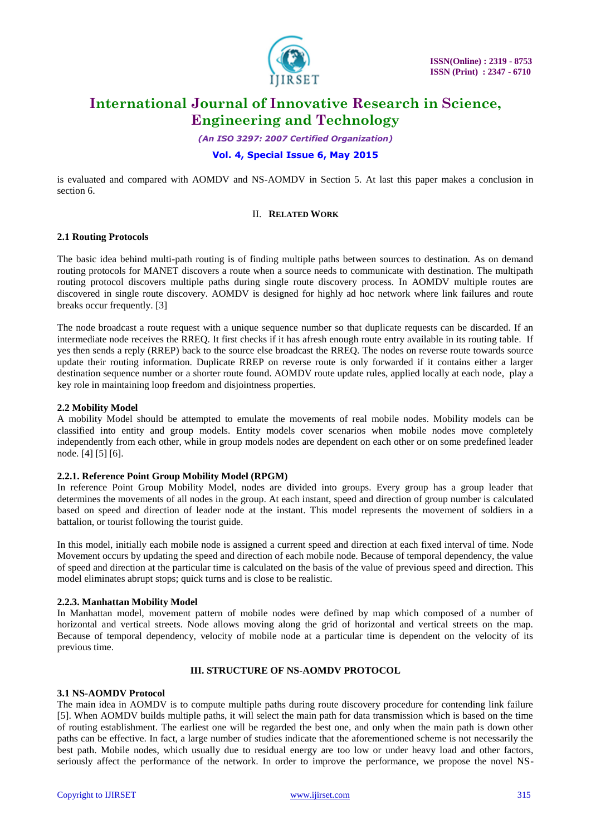

*(An ISO 3297: 2007 Certified Organization)*

# **Vol. 4, Special Issue 6, May 2015**

is evaluated and compared with AOMDV and NS-AOMDV in Section 5. At last this paper makes a conclusion in section 6.

# II. **RELATED WORK**

### **2.1 Routing Protocols**

The basic idea behind multi-path routing is of finding multiple paths between sources to destination. As on demand routing protocols for MANET discovers a route when a source needs to communicate with destination. The multipath routing protocol discovers multiple paths during single route discovery process. In AOMDV multiple routes are discovered in single route discovery. AOMDV is designed for highly ad hoc network where link failures and route breaks occur frequently. [3]

The node broadcast a route request with a unique sequence number so that duplicate requests can be discarded. If an intermediate node receives the RREQ. It first checks if it has afresh enough route entry available in its routing table. If yes then sends a reply (RREP) back to the source else broadcast the RREQ. The nodes on reverse route towards source update their routing information. Duplicate RREP on reverse route is only forwarded if it contains either a larger destination sequence number or a shorter route found. AOMDV route update rules, applied locally at each node, play a key role in maintaining loop freedom and disjointness properties.

### **2.2 Mobility Model**

A mobility Model should be attempted to emulate the movements of real mobile nodes. Mobility models can be classified into entity and group models. Entity models cover scenarios when mobile nodes move completely independently from each other, while in group models nodes are dependent on each other or on some predefined leader node. [4] [5] [6].

#### **2.2.1. Reference Point Group Mobility Model (RPGM)**

In reference Point Group Mobility Model, nodes are divided into groups. Every group has a group leader that determines the movements of all nodes in the group. At each instant, speed and direction of group number is calculated based on speed and direction of leader node at the instant. This model represents the movement of soldiers in a battalion, or tourist following the tourist guide.

In this model, initially each mobile node is assigned a current speed and direction at each fixed interval of time. Node Movement occurs by updating the speed and direction of each mobile node. Because of temporal dependency, the value of speed and direction at the particular time is calculated on the basis of the value of previous speed and direction. This model eliminates abrupt stops; quick turns and is close to be realistic.

#### **2.2.3. Manhattan Mobility Model**

In Manhattan model, movement pattern of mobile nodes were defined by map which composed of a number of horizontal and vertical streets. Node allows moving along the grid of horizontal and vertical streets on the map. Because of temporal dependency, velocity of mobile node at a particular time is dependent on the velocity of its previous time.

# **III. STRUCTURE OF NS-AOMDV PROTOCOL**

### **3.1 NS-AOMDV Protocol**

The main idea in AOMDV is to compute multiple paths during route discovery procedure for contending link failure [5]. When AOMDV builds multiple paths, it will select the main path for data transmission which is based on the time of routing establishment. The earliest one will be regarded the best one, and only when the main path is down other paths can be effective. In fact, a large number of studies indicate that the aforementioned scheme is not necessarily the best path. Mobile nodes, which usually due to residual energy are too low or under heavy load and other factors, seriously affect the performance of the network. In order to improve the performance, we propose the novel NS-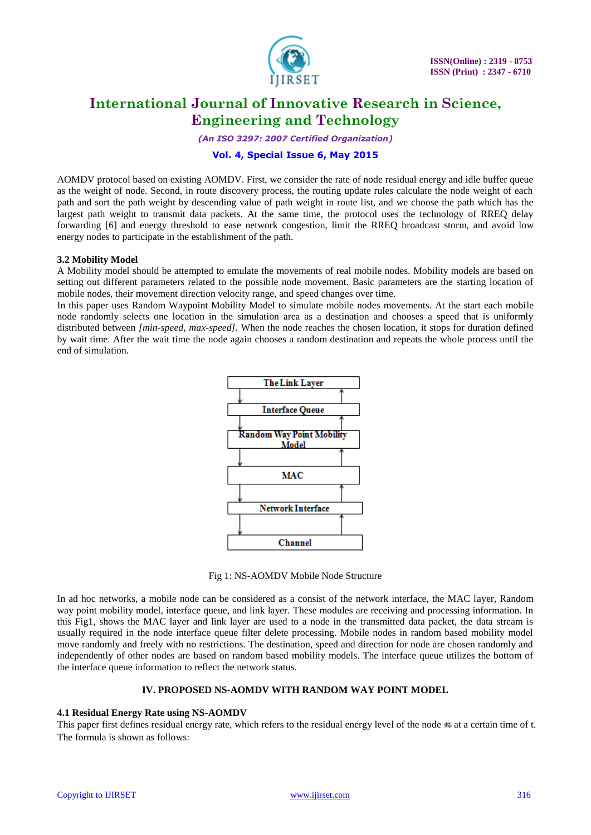

*(An ISO 3297: 2007 Certified Organization)*

# **Vol. 4, Special Issue 6, May 2015**

AOMDV protocol based on existing AOMDV. First, we consider the rate of node residual energy and idle buffer queue as the weight of node. Second, in route discovery process, the routing update rules calculate the node weight of each path and sort the path weight by descending value of path weight in route list, and we choose the path which has the largest path weight to transmit data packets. At the same time, the protocol uses the technology of RREQ delay forwarding [6] and energy threshold to ease network congestion, limit the RREQ broadcast storm, and avoid low energy nodes to participate in the establishment of the path.

### **3.2 Mobility Model**

A Mobility model should be attempted to emulate the movements of real mobile nodes. Mobility models are based on setting out different parameters related to the possible node movement. Basic parameters are the starting location of mobile nodes, their movement direction velocity range, and speed changes over time.

In this paper uses Random Waypoint Mobility Model to simulate mobile nodes movements. At the start each mobile node randomly selects one location in the simulation area as a destination and chooses a speed that is uniformly distributed between *[min-speed, max-speed].* When the node reaches the chosen location, it stops for duration defined by wait time. After the wait time the node again chooses a random destination and repeats the whole process until the end of simulation.



Fig 1: NS-AOMDV Mobile Node Structure

In ad hoc networks, a mobile node can be considered as a consist of the network interface, the MAC layer, Random way point mobility model, interface queue, and link layer. These modules are receiving and processing information. In this Fig1, shows the MAC layer and link layer are used to a node in the transmitted data packet, the data stream is usually required in the node interface queue filter delete processing. Mobile nodes in random based mobility model move randomly and freely with no restrictions. The destination, speed and direction for node are chosen randomly and independently of other nodes are based on random based mobility models. The interface queue utilizes the bottom of the interface queue information to reflect the network status.

#### **IV. PROPOSED NS-AOMDV WITH RANDOM WAY POINT MODEL**

#### **4.1 Residual Energy Rate using NS-AOMDV**

This paper first defines residual energy rate, which refers to the residual energy level of the node  $\mathbf{n}$  at a certain time of t. The formula is shown as follows: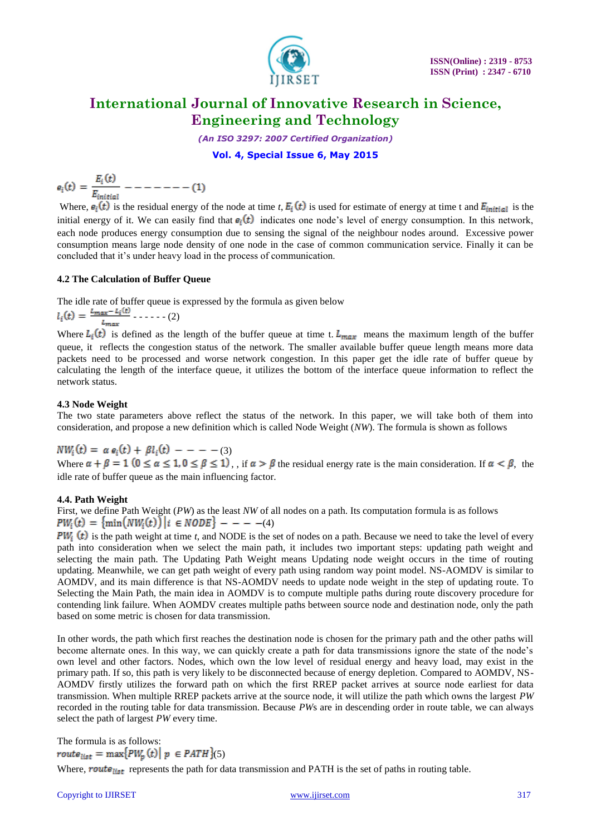

*(An ISO 3297: 2007 Certified Organization)*

**Vol. 4, Special Issue 6, May 2015**

$$
e_i(t) = \frac{E_i(t)}{E_{initial}} - - - - - - - (1)
$$

Where,  $e_i(t)$  is the residual energy of the node at time *t*,  $E_i(t)$  is used for estimate of energy at time t and  $E_{initial}$  is the initial energy of it. We can easily find that  $e_i(t)$  indicates one node's level of energy consumption. In this network, each node produces energy consumption due to sensing the signal of the neighbour nodes around. Excessive power consumption means large node density of one node in the case of common communication service. Finally it can be concluded that it's under heavy load in the process of communication.

# **4.2 The Calculation of Buffer Queue**

The idle rate of buffer queue is expressed by the formula as given below

$$
l_i(t) = \frac{l_{max} - l_i(t)}{l_{max}} - \dots - (2)
$$

Where  $L_i(t)$  is defined as the length of the buffer queue at time t.  $L_{max}$  means the maximum length of the buffer queue, it reflects the congestion status of the network. The smaller available buffer queue length means more data packets need to be processed and worse network congestion. In this paper get the idle rate of buffer queue by calculating the length of the interface queue, it utilizes the bottom of the interface queue information to reflect the network status.

# **4.3 Node Weight**

The two state parameters above reflect the status of the network. In this paper, we will take both of them into consideration, and propose a new definition which is called Node Weight (*NW*). The formula is shown as follows

 $NW_i(t) = \alpha e_i(t) + \beta l_i(t) - - - - (3)$ Where  $\alpha + \beta = 1$  ( $0 \le \alpha \le 1$ ,  $0 \le \beta \le 1$ ), if  $\alpha > \beta$  the residual energy rate is the main consideration. If  $\alpha < \beta$ , the idle rate of buffer queue as the main influencing factor.

# **4.4. Path Weight**

First, we define Path Weight (*PW*) as the least *NW* of all nodes on a path. Its computation formula is as follows  $PW_i(t) = \{ \min( NW_i(t)) | i \in NODE \}$  - - - -(4)

 $PW_i(t)$  is the path weight at time *t*, and NODE is the set of nodes on a path. Because we need to take the level of every path into consideration when we select the main path, it includes two important steps: updating path weight and selecting the main path. The Updating Path Weight means Updating node weight occurs in the time of routing updating. Meanwhile, we can get path weight of every path using random way point model. NS-AOMDV is similar to AOMDV, and its main difference is that NS-AOMDV needs to update node weight in the step of updating route. To Selecting the Main Path, the main idea in AOMDV is to compute multiple paths during route discovery procedure for contending link failure. When AOMDV creates multiple paths between source node and destination node, only the path based on some metric is chosen for data transmission.

In other words, the path which first reaches the destination node is chosen for the primary path and the other paths will become alternate ones. In this way, we can quickly create a path for data transmissions ignore the state of the node's own level and other factors. Nodes, which own the low level of residual energy and heavy load, may exist in the primary path. If so, this path is very likely to be disconnected because of energy depletion. Compared to AOMDV, NS-AOMDV firstly utilizes the forward path on which the first RREP packet arrives at source node earliest for data transmission. When multiple RREP packets arrive at the source node, it will utilize the path which owns the largest *PW*  recorded in the routing table for data transmission. Because *PW*s are in descending order in route table, we can always select the path of largest *PW* every time.

The formula is as follows:  $route_{list} = max[PW_n(t) | p \in PATH$  (5)

Where, route  $_{list}$  represents the path for data transmission and PATH is the set of paths in routing table.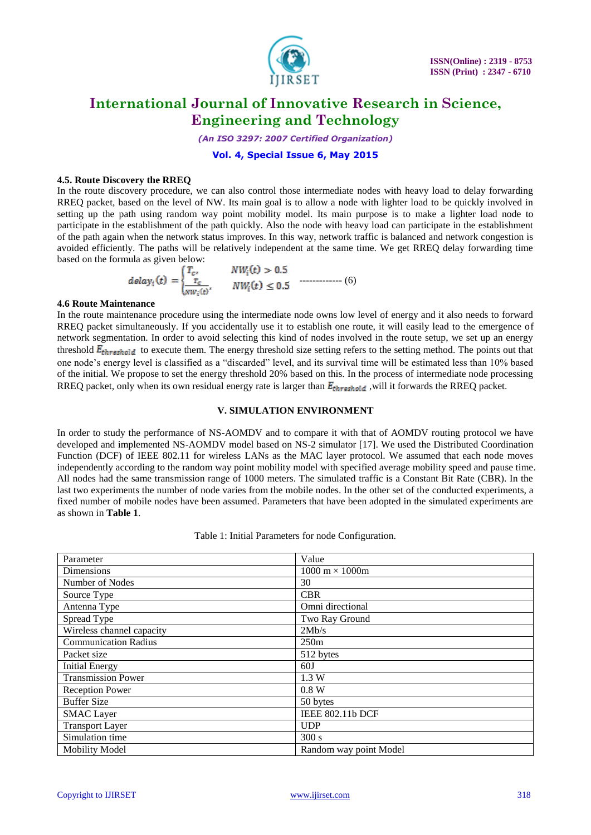

*(An ISO 3297: 2007 Certified Organization)*

# **Vol. 4, Special Issue 6, May 2015**

### **4.5. Route Discovery the RREQ**

In the route discovery procedure, we can also control those intermediate nodes with heavy load to delay forwarding RREQ packet, based on the level of NW. Its main goal is to allow a node with lighter load to be quickly involved in setting up the path using random way point mobility model. Its main purpose is to make a lighter load node to participate in the establishment of the path quickly. Also the node with heavy load can participate in the establishment of the path again when the network status improves. In this way, network traffic is balanced and network congestion is avoided efficiently. The paths will be relatively independent at the same time. We get RREQ delay forwarding time based on the formula as given below:

$$
delay_i(t) = \begin{cases} T_c, & NW_i(t) > 0.5\\ \frac{T_c}{NW_i(t)}, & NW_i(t) \le 0.5 \end{cases}
$$
 (6)

#### **4.6 Route Maintenance**

In the route maintenance procedure using the intermediate node owns low level of energy and it also needs to forward RREQ packet simultaneously. If you accidentally use it to establish one route, it will easily lead to the emergence of network segmentation. In order to avoid selecting this kind of nodes involved in the route setup, we set up an energy threshold  $E_{threshold}$  to execute them. The energy threshold size setting refers to the setting method. The points out that one node's energy level is classified as a "discarded" level, and its survival time will be estimated less than 10% based of the initial. We propose to set the energy threshold 20% based on this. In the process of intermediate node processing RREQ packet, only when its own residual energy rate is larger than  $E_{threshold}$ , will it forwards the RREQ packet.

#### **V. SIMULATION ENVIRONMENT**

In order to study the performance of NS-AOMDV and to compare it with that of AOMDV routing protocol we have developed and implemented NS-AOMDV model based on NS-2 simulator [17]. We used the Distributed Coordination Function (DCF) of IEEE 802.11 for wireless LANs as the MAC layer protocol. We assumed that each node moves independently according to the random way point mobility model with specified average mobility speed and pause time. All nodes had the same transmission range of 1000 meters. The simulated traffic is a Constant Bit Rate (CBR). In the last two experiments the number of node varies from the mobile nodes. In the other set of the conducted experiments, a fixed number of mobile nodes have been assumed. Parameters that have been adopted in the simulated experiments are as shown in **Table 1**.

| Parameter                   | Value                                 |
|-----------------------------|---------------------------------------|
| Dimensions                  | $1000 \text{ m} \times 1000 \text{m}$ |
| Number of Nodes             | 30                                    |
| Source Type                 | <b>CBR</b>                            |
| Antenna Type                | Omni directional                      |
| Spread Type                 | Two Ray Ground                        |
| Wireless channel capacity   | 2Mb/s                                 |
| <b>Communication Radius</b> | 250m                                  |
| Packet size                 | 512 bytes                             |
| <b>Initial Energy</b>       | 60J                                   |
| <b>Transmission Power</b>   | 1.3 W                                 |
| <b>Reception Power</b>      | 0.8 W                                 |
| <b>Buffer Size</b>          | 50 bytes                              |
| <b>SMAC</b> Layer           | <b>IEEE 802.11b DCF</b>               |
| <b>Transport Layer</b>      | <b>UDP</b>                            |
| Simulation time             | 300 s                                 |
| <b>Mobility Model</b>       | Random way point Model                |

Table 1: Initial Parameters for node Configuration.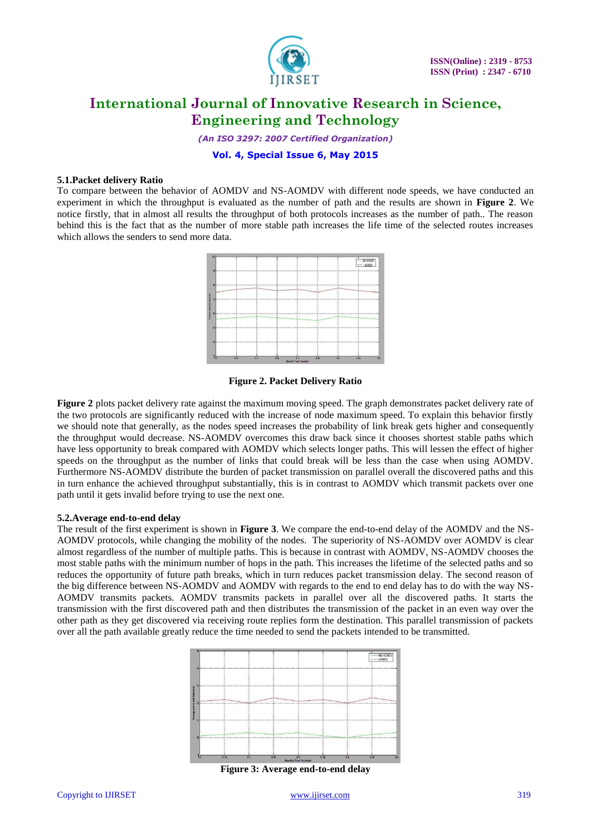

*(An ISO 3297: 2007 Certified Organization)*

**Vol. 4, Special Issue 6, May 2015**

### **5.1.Packet delivery Ratio**

To compare between the behavior of AOMDV and NS-AOMDV with different node speeds, we have conducted an experiment in which the throughput is evaluated as the number of path and the results are shown in **Figure 2**. We notice firstly, that in almost all results the throughput of both protocols increases as the number of path.. The reason behind this is the fact that as the number of more stable path increases the life time of the selected routes increases which allows the senders to send more data.



# **Figure 2. Packet Delivery Ratio**

**Figure 2** plots packet delivery rate against the maximum moving speed. The graph demonstrates packet delivery rate of the two protocols are significantly reduced with the increase of node maximum speed. To explain this behavior firstly we should note that generally, as the nodes speed increases the probability of link break gets higher and consequently the throughput would decrease. NS-AOMDV overcomes this draw back since it chooses shortest stable paths which have less opportunity to break compared with AOMDV which selects longer paths. This will lessen the effect of higher speeds on the throughput as the number of links that could break will be less than the case when using AOMDV. Furthermore NS-AOMDV distribute the burden of packet transmission on parallel overall the discovered paths and this in turn enhance the achieved throughput substantially, this is in contrast to AOMDV which transmit packets over one path until it gets invalid before trying to use the next one.

#### **5.2.Average end-to-end delay**

The result of the first experiment is shown in **Figure 3**. We compare the end-to-end delay of the AOMDV and the NS-AOMDV protocols, while changing the mobility of the nodes. The superiority of NS-AOMDV over AOMDV is clear almost regardless of the number of multiple paths. This is because in contrast with AOMDV, NS-AOMDV chooses the most stable paths with the minimum number of hops in the path. This increases the lifetime of the selected paths and so reduces the opportunity of future path breaks, which in turn reduces packet transmission delay. The second reason of the big difference between NS-AOMDV and AOMDV with regards to the end to end delay has to do with the way NS-AOMDV transmits packets. AOMDV transmits packets in parallel over all the discovered paths. It starts the transmission with the first discovered path and then distributes the transmission of the packet in an even way over the other path as they get discovered via receiving route replies form the destination. This parallel transmission of packets over all the path available greatly reduce the time needed to send the packets intended to be transmitted.



**Figure 3: Average end-to-end delay**